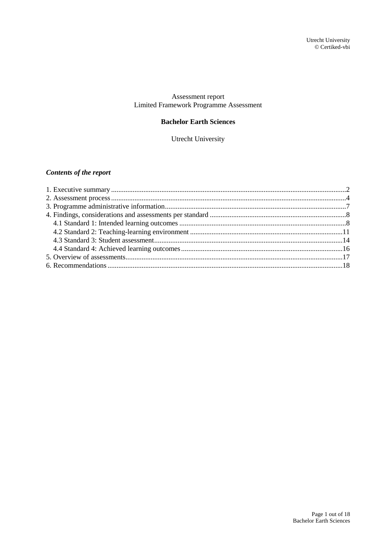### Assessment report Limited Framework Programme Assessment

### **Bachelor Earth Sciences**

Utrecht University

### *Contents of the report*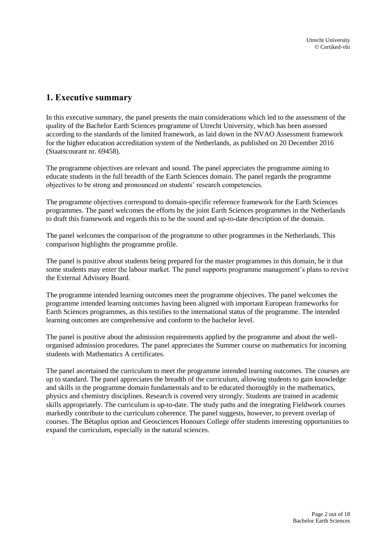## <span id="page-1-0"></span>**1. Executive summary**

In this executive summary, the panel presents the main considerations which led to the assessment of the quality of the Bachelor Earth Sciences programme of Utrecht University, which has been assessed according to the standards of the limited framework, as laid down in the NVAO Assessment framework for the higher education accreditation system of the Netherlands, as published on 20 December 2016 (Staatscourant nr. 69458).

The programme objectives are relevant and sound. The panel appreciates the programme aiming to educate students in the full breadth of the Earth Sciences domain. The panel regards the programme objectives to be strong and pronounced on students' research competencies.

The programme objectives correspond to domain-specific reference framework for the Earth Sciences programmes. The panel welcomes the efforts by the joint Earth Sciences programmes in the Netherlands to draft this framework and regards this to be the sound and up-to-date description of the domain.

The panel welcomes the comparison of the programme to other programmes in the Netherlands. This comparison highlights the programme profile.

The panel is positive about students being prepared for the master programmes in this domain, be it that some students may enter the labour market. The panel supports programme management's plans to revive the External Advisory Board.

The programme intended learning outcomes meet the programme objectives. The panel welcomes the programme intended learning outcomes having been aligned with important European frameworks for Earth Sciences programmes, as this testifies to the international status of the programme. The intended learning outcomes are comprehensive and conform to the bachelor level.

The panel is positive about the admission requirements applied by the programme and about the wellorganised admission procedures. The panel appreciates the Summer course on mathematics for incoming students with Mathematics A certificates.

The panel ascertained the curriculum to meet the programme intended learning outcomes. The courses are up to standard. The panel appreciates the breadth of the curriculum, allowing students to gain knowledge and skills in the programme domain fundamentals and to be educated thoroughly in the mathematics, physics and chemistry disciplines. Research is covered very strongly. Students are trained in academic skills appropriately. The curriculum is up-to-date. The study paths and the integrating Fieldwork courses markedly contribute to the curriculum coherence. The panel suggests, however, to prevent overlap of courses. The Bètaplus option and Geosciences Honours College offer students interesting opportunities to expand the curriculum, especially in the natural sciences.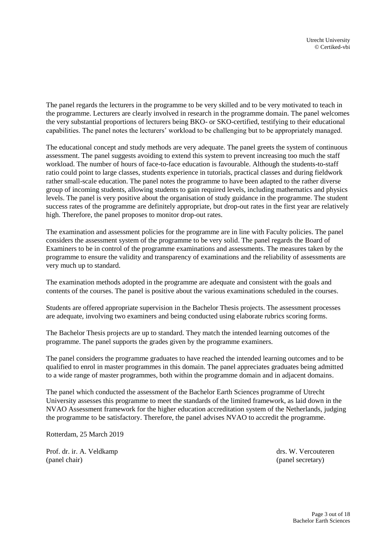The panel regards the lecturers in the programme to be very skilled and to be very motivated to teach in the programme. Lecturers are clearly involved in research in the programme domain. The panel welcomes the very substantial proportions of lecturers being BKO- or SKO-certified, testifying to their educational capabilities. The panel notes the lecturers' workload to be challenging but to be appropriately managed.

The educational concept and study methods are very adequate. The panel greets the system of continuous assessment. The panel suggests avoiding to extend this system to prevent increasing too much the staff workload. The number of hours of face-to-face education is favourable. Although the students-to-staff ratio could point to large classes, students experience in tutorials, practical classes and during fieldwork rather small-scale education. The panel notes the programme to have been adapted to the rather diverse group of incoming students, allowing students to gain required levels, including mathematics and physics levels. The panel is very positive about the organisation of study guidance in the programme. The student success rates of the programme are definitely appropriate, but drop-out rates in the first year are relatively high. Therefore, the panel proposes to monitor drop-out rates.

The examination and assessment policies for the programme are in line with Faculty policies. The panel considers the assessment system of the programme to be very solid. The panel regards the Board of Examiners to be in control of the programme examinations and assessments. The measures taken by the programme to ensure the validity and transparency of examinations and the reliability of assessments are very much up to standard.

The examination methods adopted in the programme are adequate and consistent with the goals and contents of the courses. The panel is positive about the various examinations scheduled in the courses.

Students are offered appropriate supervision in the Bachelor Thesis projects. The assessment processes are adequate, involving two examiners and being conducted using elaborate rubrics scoring forms.

The Bachelor Thesis projects are up to standard. They match the intended learning outcomes of the programme. The panel supports the grades given by the programme examiners.

The panel considers the programme graduates to have reached the intended learning outcomes and to be qualified to enrol in master programmes in this domain. The panel appreciates graduates being admitted to a wide range of master programmes, both within the programme domain and in adjacent domains.

The panel which conducted the assessment of the Bachelor Earth Sciences programme of Utrecht University assesses this programme to meet the standards of the limited framework, as laid down in the NVAO Assessment framework for the higher education accreditation system of the Netherlands, judging the programme to be satisfactory. Therefore, the panel advises NVAO to accredit the programme.

Rotterdam, 25 March 2019

Prof. dr. ir. A. Veldkamp drs. W. Vercouteren (panel chair) (panel secretary)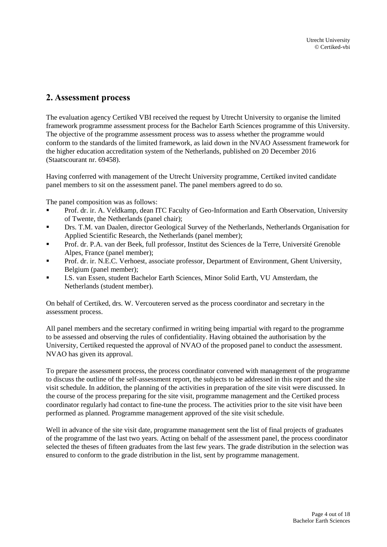## <span id="page-3-0"></span>**2. Assessment process**

The evaluation agency Certiked VBI received the request by Utrecht University to organise the limited framework programme assessment process for the Bachelor Earth Sciences programme of this University. The objective of the programme assessment process was to assess whether the programme would conform to the standards of the limited framework, as laid down in the NVAO Assessment framework for the higher education accreditation system of the Netherlands, published on 20 December 2016 (Staatscourant nr. 69458).

Having conferred with management of the Utrecht University programme, Certiked invited candidate panel members to sit on the assessment panel. The panel members agreed to do so.

The panel composition was as follows:

- Prof. dr. ir. A. Veldkamp, dean ITC Faculty of Geo-Information and Earth Observation, University of Twente, the Netherlands (panel chair);
- Drs. T.M. van Daalen, director Geological Survey of the Netherlands, Netherlands Organisation for Applied Scientific Research, the Netherlands (panel member);
- Prof. dr. P.A. van der Beek, full professor, Institut des Sciences de la Terre, Université Grenoble Alpes, France (panel member);
- Prof. dr. ir. N.E.C. Verhoest, associate professor, Department of Environment, Ghent University, Belgium (panel member);
- I.S. van Essen, student Bachelor Earth Sciences, Minor Solid Earth, VU Amsterdam, the Netherlands (student member).

On behalf of Certiked, drs. W. Vercouteren served as the process coordinator and secretary in the assessment process.

All panel members and the secretary confirmed in writing being impartial with regard to the programme to be assessed and observing the rules of confidentiality. Having obtained the authorisation by the University, Certiked requested the approval of NVAO of the proposed panel to conduct the assessment. NVAO has given its approval.

To prepare the assessment process, the process coordinator convened with management of the programme to discuss the outline of the self-assessment report, the subjects to be addressed in this report and the site visit schedule. In addition, the planning of the activities in preparation of the site visit were discussed. In the course of the process preparing for the site visit, programme management and the Certiked process coordinator regularly had contact to fine-tune the process. The activities prior to the site visit have been performed as planned. Programme management approved of the site visit schedule.

Well in advance of the site visit date, programme management sent the list of final projects of graduates of the programme of the last two years. Acting on behalf of the assessment panel, the process coordinator selected the theses of fifteen graduates from the last few years. The grade distribution in the selection was ensured to conform to the grade distribution in the list, sent by programme management.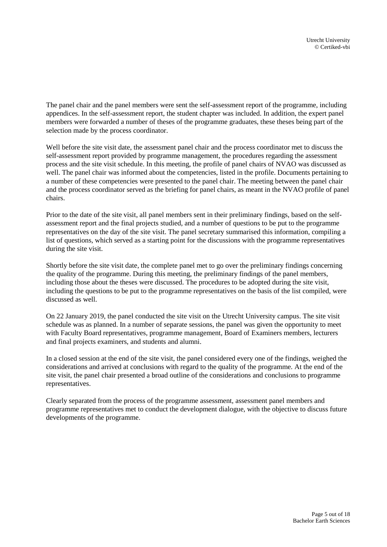The panel chair and the panel members were sent the self-assessment report of the programme, including appendices. In the self-assessment report, the student chapter was included. In addition, the expert panel members were forwarded a number of theses of the programme graduates, these theses being part of the selection made by the process coordinator.

Well before the site visit date, the assessment panel chair and the process coordinator met to discuss the self-assessment report provided by programme management, the procedures regarding the assessment process and the site visit schedule. In this meeting, the profile of panel chairs of NVAO was discussed as well. The panel chair was informed about the competencies, listed in the profile. Documents pertaining to a number of these competencies were presented to the panel chair. The meeting between the panel chair and the process coordinator served as the briefing for panel chairs, as meant in the NVAO profile of panel chairs.

Prior to the date of the site visit, all panel members sent in their preliminary findings, based on the selfassessment report and the final projects studied, and a number of questions to be put to the programme representatives on the day of the site visit. The panel secretary summarised this information, compiling a list of questions, which served as a starting point for the discussions with the programme representatives during the site visit.

Shortly before the site visit date, the complete panel met to go over the preliminary findings concerning the quality of the programme. During this meeting, the preliminary findings of the panel members, including those about the theses were discussed. The procedures to be adopted during the site visit, including the questions to be put to the programme representatives on the basis of the list compiled, were discussed as well.

On 22 January 2019, the panel conducted the site visit on the Utrecht University campus. The site visit schedule was as planned. In a number of separate sessions, the panel was given the opportunity to meet with Faculty Board representatives, programme management, Board of Examiners members, lecturers and final projects examiners, and students and alumni.

In a closed session at the end of the site visit, the panel considered every one of the findings, weighed the considerations and arrived at conclusions with regard to the quality of the programme. At the end of the site visit, the panel chair presented a broad outline of the considerations and conclusions to programme representatives.

Clearly separated from the process of the programme assessment, assessment panel members and programme representatives met to conduct the development dialogue, with the objective to discuss future developments of the programme.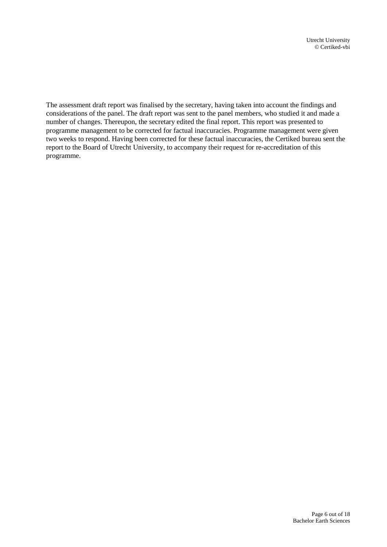The assessment draft report was finalised by the secretary, having taken into account the findings and considerations of the panel. The draft report was sent to the panel members, who studied it and made a number of changes. Thereupon, the secretary edited the final report. This report was presented to programme management to be corrected for factual inaccuracies. Programme management were given two weeks to respond. Having been corrected for these factual inaccuracies, the Certiked bureau sent the report to the Board of Utrecht University, to accompany their request for re-accreditation of this programme.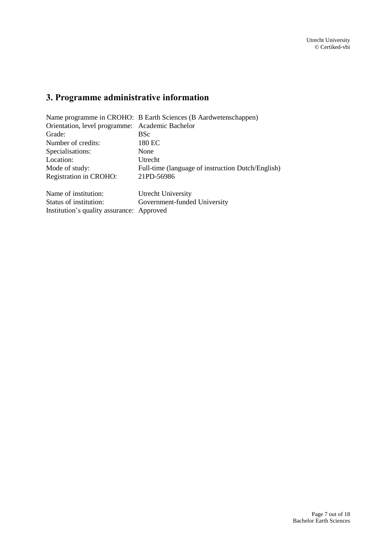# <span id="page-6-0"></span>**3. Programme administrative information**

|                                                 | Name programme in CROHO: B Earth Sciences (B Aardwetenschappen) |  |
|-------------------------------------------------|-----------------------------------------------------------------|--|
| Orientation, level programme: Academic Bachelor |                                                                 |  |
| Grade:                                          | <b>BSc</b>                                                      |  |
| Number of credits:                              | 180 EC                                                          |  |
| Specialisations:                                | None                                                            |  |
| Location:                                       | Utrecht                                                         |  |
| Mode of study:                                  | Full-time (language of instruction Dutch/English)               |  |
| Registration in CROHO:                          | 21PD-56986                                                      |  |
| Name of institution:                            | Utrecht University                                              |  |
| Status of institution:                          | Government-funded University                                    |  |
| Institution's quality assurance: Approved       |                                                                 |  |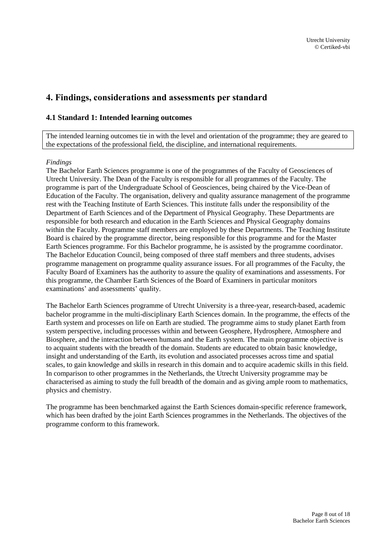## <span id="page-7-0"></span>**4. Findings, considerations and assessments per standard**

### <span id="page-7-1"></span>**4.1 Standard 1: Intended learning outcomes**

The intended learning outcomes tie in with the level and orientation of the programme; they are geared to the expectations of the professional field, the discipline, and international requirements.

### *Findings*

The Bachelor Earth Sciences programme is one of the programmes of the Faculty of Geosciences of Utrecht University. The Dean of the Faculty is responsible for all programmes of the Faculty. The programme is part of the Undergraduate School of Geosciences, being chaired by the Vice-Dean of Education of the Faculty. The organisation, delivery and quality assurance management of the programme rest with the Teaching Institute of Earth Sciences. This institute falls under the responsibility of the Department of Earth Sciences and of the Department of Physical Geography. These Departments are responsible for both research and education in the Earth Sciences and Physical Geography domains within the Faculty. Programme staff members are employed by these Departments. The Teaching Institute Board is chaired by the programme director, being responsible for this programme and for the Master Earth Sciences programme. For this Bachelor programme, he is assisted by the programme coordinator. The Bachelor Education Council, being composed of three staff members and three students, advises programme management on programme quality assurance issues. For all programmes of the Faculty, the Faculty Board of Examiners has the authority to assure the quality of examinations and assessments. For this programme, the Chamber Earth Sciences of the Board of Examiners in particular monitors examinations' and assessments' quality.

The Bachelor Earth Sciences programme of Utrecht University is a three-year, research-based, academic bachelor programme in the multi-disciplinary Earth Sciences domain. In the programme, the effects of the Earth system and processes on life on Earth are studied. The programme aims to study planet Earth from system perspective, including processes within and between Geosphere, Hydrosphere, Atmosphere and Biosphere, and the interaction between humans and the Earth system. The main programme objective is to acquaint students with the breadth of the domain. Students are educated to obtain basic knowledge, insight and understanding of the Earth, its evolution and associated processes across time and spatial scales, to gain knowledge and skills in research in this domain and to acquire academic skills in this field. In comparison to other programmes in the Netherlands, the Utrecht University programme may be characterised as aiming to study the full breadth of the domain and as giving ample room to mathematics, physics and chemistry.

The programme has been benchmarked against the Earth Sciences domain-specific reference framework, which has been drafted by the joint Earth Sciences programmes in the Netherlands. The objectives of the programme conform to this framework.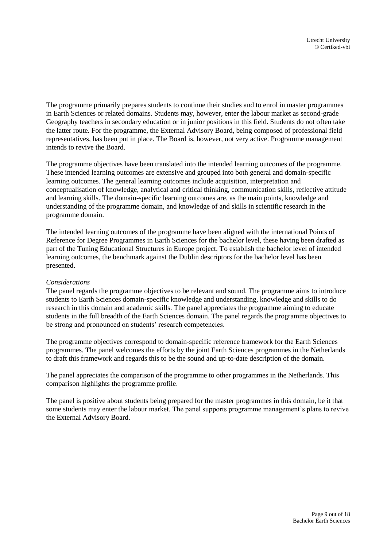The programme primarily prepares students to continue their studies and to enrol in master programmes in Earth Sciences or related domains. Students may, however, enter the labour market as second-grade Geography teachers in secondary education or in junior positions in this field. Students do not often take the latter route. For the programme, the External Advisory Board, being composed of professional field representatives, has been put in place. The Board is, however, not very active. Programme management intends to revive the Board.

The programme objectives have been translated into the intended learning outcomes of the programme. These intended learning outcomes are extensive and grouped into both general and domain-specific learning outcomes. The general learning outcomes include acquisition, interpretation and conceptualisation of knowledge, analytical and critical thinking, communication skills, reflective attitude and learning skills. The domain-specific learning outcomes are, as the main points, knowledge and understanding of the programme domain, and knowledge of and skills in scientific research in the programme domain.

The intended learning outcomes of the programme have been aligned with the international Points of Reference for Degree Programmes in Earth Sciences for the bachelor level, these having been drafted as part of the Tuning Educational Structures in Europe project. To establish the bachelor level of intended learning outcomes, the benchmark against the Dublin descriptors for the bachelor level has been presented.

### *Considerations*

The panel regards the programme objectives to be relevant and sound. The programme aims to introduce students to Earth Sciences domain-specific knowledge and understanding, knowledge and skills to do research in this domain and academic skills. The panel appreciates the programme aiming to educate students in the full breadth of the Earth Sciences domain. The panel regards the programme objectives to be strong and pronounced on students' research competencies.

The programme objectives correspond to domain-specific reference framework for the Earth Sciences programmes. The panel welcomes the efforts by the joint Earth Sciences programmes in the Netherlands to draft this framework and regards this to be the sound and up-to-date description of the domain.

The panel appreciates the comparison of the programme to other programmes in the Netherlands. This comparison highlights the programme profile.

The panel is positive about students being prepared for the master programmes in this domain, be it that some students may enter the labour market. The panel supports programme management's plans to revive the External Advisory Board.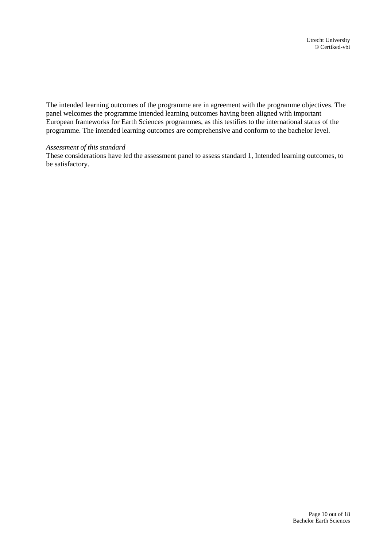The intended learning outcomes of the programme are in agreement with the programme objectives. The panel welcomes the programme intended learning outcomes having been aligned with important European frameworks for Earth Sciences programmes, as this testifies to the international status of the programme. The intended learning outcomes are comprehensive and conform to the bachelor level.

### *Assessment of this standard*

These considerations have led the assessment panel to assess standard 1, Intended learning outcomes, to be satisfactory.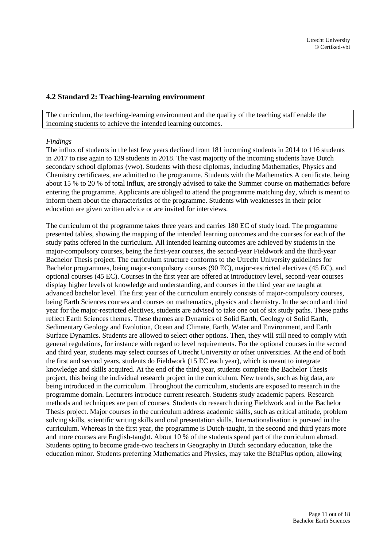### <span id="page-10-0"></span>**4.2 Standard 2: Teaching-learning environment**

The curriculum, the teaching-learning environment and the quality of the teaching staff enable the incoming students to achieve the intended learning outcomes.

### *Findings*

The influx of students in the last few years declined from 181 incoming students in 2014 to 116 students in 2017 to rise again to 139 students in 2018. The vast majority of the incoming students have Dutch secondary school diplomas (vwo). Students with these diplomas, including Mathematics, Physics and Chemistry certificates, are admitted to the programme. Students with the Mathematics A certificate, being about 15 % to 20 % of total influx, are strongly advised to take the Summer course on mathematics before entering the programme. Applicants are obliged to attend the programme matching day, which is meant to inform them about the characteristics of the programme. Students with weaknesses in their prior education are given written advice or are invited for interviews.

The curriculum of the programme takes three years and carries 180 EC of study load. The programme presented tables, showing the mapping of the intended learning outcomes and the courses for each of the study paths offered in the curriculum. All intended learning outcomes are achieved by students in the major-compulsory courses, being the first-year courses, the second-year Fieldwork and the third-year Bachelor Thesis project. The curriculum structure conforms to the Utrecht University guidelines for Bachelor programmes, being major-compulsory courses (90 EC), major-restricted electives (45 EC), and optional courses (45 EC). Courses in the first year are offered at introductory level, second-year courses display higher levels of knowledge and understanding, and courses in the third year are taught at advanced bachelor level. The first year of the curriculum entirely consists of major-compulsory courses, being Earth Sciences courses and courses on mathematics, physics and chemistry. In the second and third year for the major-restricted electives, students are advised to take one out of six study paths. These paths reflect Earth Sciences themes. These themes are Dynamics of Solid Earth, Geology of Solid Earth, Sedimentary Geology and Evolution, Ocean and Climate, Earth, Water and Environment, and Earth Surface Dynamics. Students are allowed to select other options. Then, they will still need to comply with general regulations, for instance with regard to level requirements. For the optional courses in the second and third year, students may select courses of Utrecht University or other universities. At the end of both the first and second years, students do Fieldwork (15 EC each year), which is meant to integrate knowledge and skills acquired. At the end of the third year, students complete the Bachelor Thesis project, this being the individual research project in the curriculum. New trends, such as big data, are being introduced in the curriculum. Throughout the curriculum, students are exposed to research in the programme domain. Lecturers introduce current research. Students study academic papers. Research methods and techniques are part of courses. Students do research during Fieldwork and in the Bachelor Thesis project. Major courses in the curriculum address academic skills, such as critical attitude, problem solving skills, scientific writing skills and oral presentation skills. Internationalisation is pursued in the curriculum. Whereas in the first year, the programme is Dutch-taught, in the second and third years more and more courses are English-taught. About 10 % of the students spend part of the curriculum abroad. Students opting to become grade-two teachers in Geography in Dutch secondary education, take the education minor. Students preferring Mathematics and Physics, may take the BètaPlus option, allowing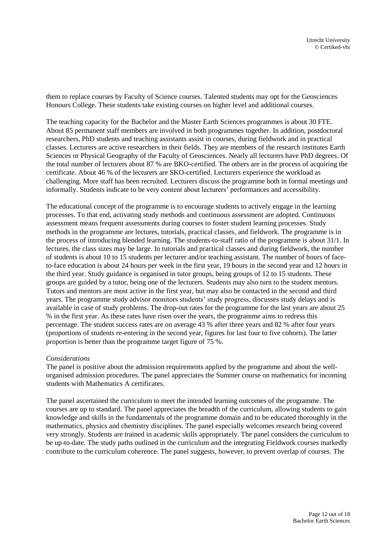them to replace courses by Faculty of Science courses. Talented students may opt for the Geosciences Honours College. These students take existing courses on higher level and additional courses.

The teaching capacity for the Bachelor and the Master Earth Sciences programmes is about 30 FTE. About 85 permanent staff members are involved in both programmes together. In addition, postdoctoral researchers, PhD students and teaching assistants assist in courses, during fieldwork and in practical classes. Lecturers are active researchers in their fields. They are members of the research institutes Earth Sciences or Physical Geography of the Faculty of Geosciences. Nearly all lecturers have PhD degrees. Of the total number of lecturers about 87 % are BKO-certified. The others are in the process of acquiring the certificate. About 46 % of the lecturers are SKO-certified. Lecturers experience the workload as challenging. More staff has been recruited. Lecturers discuss the programme both in formal meetings and informally. Students indicate to be very content about lecturers' performances and accessibility.

The educational concept of the programme is to encourage students to actively engage in the learning processes. To that end, activating study methods and continuous assessment are adopted. Continuous assessment means frequent assessments during courses to foster student learning processes. Study methods in the programme are lectures, tutorials, practical classes, and fieldwork. The programme is in the process of introducing blended learning. The students-to-staff ratio of the programme is about 31/1. In lectures, the class sizes may be large. In tutorials and practical classes and during fieldwork, the number of students is about 10 to 15 students per lecturer and/or teaching assistant. The number of hours of faceto-face education is about 24 hours per week in the first year, 19 hours in the second year and 12 hours in the third year. Study guidance is organised in tutor groups, being groups of 12 to 15 students. These groups are guided by a tutor, being one of the lecturers. Students may also turn to the student mentors. Tutors and mentors are most active in the first year, but may also be contacted in the second and third years. The programme study advisor monitors students' study progress, discusses study delays and is available in case of study problems. The drop-out rates for the programme for the last years are about 25 % in the first year. As these rates have risen over the years, the programme aims to redress this percentage. The student success rates are on average 43 % after three years and 82 % after four years (proportions of students re-entering in the second year, figures for last four to five cohorts). The latter proportion is better than the programme target figure of 75 %.

### *Considerations*

The panel is positive about the admission requirements applied by the programme and about the wellorganised admission procedures. The panel appreciates the Summer course on mathematics for incoming students with Mathematics A certificates.

The panel ascertained the curriculum to meet the intended learning outcomes of the programme. The courses are up to standard. The panel appreciates the breadth of the curriculum, allowing students to gain knowledge and skills in the fundamentals of the programme domain and to be educated thoroughly in the mathematics, physics and chemistry disciplines. The panel especially welcomes research being covered very strongly. Students are trained in academic skills appropriately. The panel considers the curriculum to be up-to-date. The study paths outlined in the curriculum and the integrating Fieldwork courses markedly contribute to the curriculum coherence. The panel suggests, however, to prevent overlap of courses. The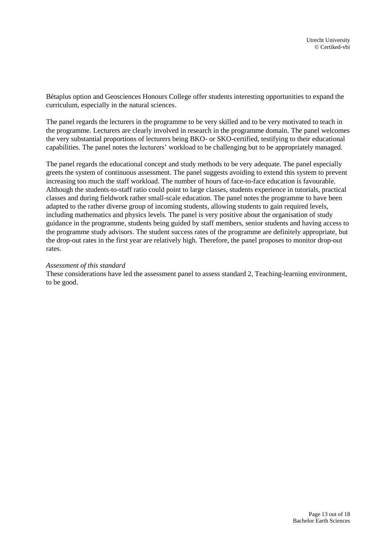Bètaplus option and Geosciences Honours College offer students interesting opportunities to expand the curriculum, especially in the natural sciences.

The panel regards the lecturers in the programme to be very skilled and to be very motivated to teach in the programme. Lecturers are clearly involved in research in the programme domain. The panel welcomes the very substantial proportions of lecturers being BKO- or SKO-certified, testifying to their educational capabilities. The panel notes the lecturers' workload to be challenging but to be appropriately managed.

The panel regards the educational concept and study methods to be very adequate. The panel especially greets the system of continuous assessment. The panel suggests avoiding to extend this system to prevent increasing too much the staff workload. The number of hours of face-to-face education is favourable. Although the students-to-staff ratio could point to large classes, students experience in tutorials, practical classes and during fieldwork rather small-scale education. The panel notes the programme to have been adapted to the rather diverse group of incoming students, allowing students to gain required levels, including mathematics and physics levels. The panel is very positive about the organisation of study guidance in the programme, students being guided by staff members, senior students and having access to the programme study advisors. The student success rates of the programme are definitely appropriate, but the drop-out rates in the first year are relatively high. Therefore, the panel proposes to monitor drop-out rates.

### *Assessment of this standard*

These considerations have led the assessment panel to assess standard 2, Teaching-learning environment, to be good.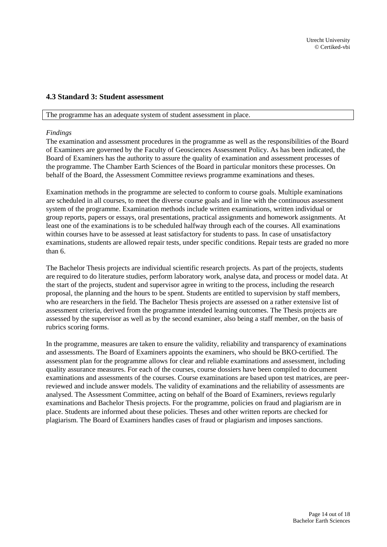### <span id="page-13-0"></span>**4.3 Standard 3: Student assessment**

#### The programme has an adequate system of student assessment in place.

#### *Findings*

The examination and assessment procedures in the programme as well as the responsibilities of the Board of Examiners are governed by the Faculty of Geosciences Assessment Policy. As has been indicated, the Board of Examiners has the authority to assure the quality of examination and assessment processes of the programme. The Chamber Earth Sciences of the Board in particular monitors these processes. On behalf of the Board, the Assessment Committee reviews programme examinations and theses.

Examination methods in the programme are selected to conform to course goals. Multiple examinations are scheduled in all courses, to meet the diverse course goals and in line with the continuous assessment system of the programme. Examination methods include written examinations, written individual or group reports, papers or essays, oral presentations, practical assignments and homework assignments. At least one of the examinations is to be scheduled halfway through each of the courses. All examinations within courses have to be assessed at least satisfactory for students to pass. In case of unsatisfactory examinations, students are allowed repair tests, under specific conditions. Repair tests are graded no more than 6.

The Bachelor Thesis projects are individual scientific research projects. As part of the projects, students are required to do literature studies, perform laboratory work, analyse data, and process or model data. At the start of the projects, student and supervisor agree in writing to the process, including the research proposal, the planning and the hours to be spent. Students are entitled to supervision by staff members, who are researchers in the field. The Bachelor Thesis projects are assessed on a rather extensive list of assessment criteria, derived from the programme intended learning outcomes. The Thesis projects are assessed by the supervisor as well as by the second examiner, also being a staff member, on the basis of rubrics scoring forms.

In the programme, measures are taken to ensure the validity, reliability and transparency of examinations and assessments. The Board of Examiners appoints the examiners, who should be BKO-certified. The assessment plan for the programme allows for clear and reliable examinations and assessment, including quality assurance measures. For each of the courses, course dossiers have been compiled to document examinations and assessments of the courses. Course examinations are based upon test matrices, are peerreviewed and include answer models. The validity of examinations and the reliability of assessments are analysed. The Assessment Committee, acting on behalf of the Board of Examiners, reviews regularly examinations and Bachelor Thesis projects. For the programme, policies on fraud and plagiarism are in place. Students are informed about these policies. Theses and other written reports are checked for plagiarism. The Board of Examiners handles cases of fraud or plagiarism and imposes sanctions.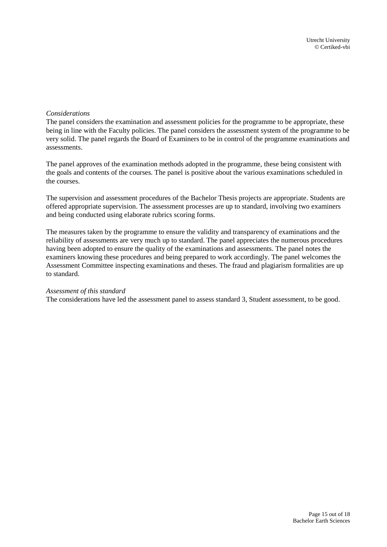### *Considerations*

The panel considers the examination and assessment policies for the programme to be appropriate, these being in line with the Faculty policies. The panel considers the assessment system of the programme to be very solid. The panel regards the Board of Examiners to be in control of the programme examinations and assessments.

The panel approves of the examination methods adopted in the programme, these being consistent with the goals and contents of the courses. The panel is positive about the various examinations scheduled in the courses.

The supervision and assessment procedures of the Bachelor Thesis projects are appropriate. Students are offered appropriate supervision. The assessment processes are up to standard, involving two examiners and being conducted using elaborate rubrics scoring forms.

The measures taken by the programme to ensure the validity and transparency of examinations and the reliability of assessments are very much up to standard. The panel appreciates the numerous procedures having been adopted to ensure the quality of the examinations and assessments. The panel notes the examiners knowing these procedures and being prepared to work accordingly. The panel welcomes the Assessment Committee inspecting examinations and theses. The fraud and plagiarism formalities are up to standard.

#### *Assessment of this standard*

The considerations have led the assessment panel to assess standard 3, Student assessment, to be good.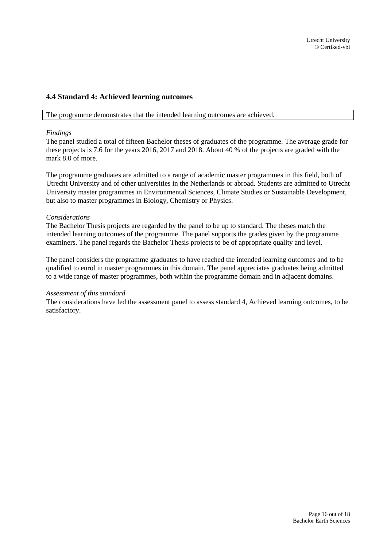### <span id="page-15-0"></span>**4.4 Standard 4: Achieved learning outcomes**

The programme demonstrates that the intended learning outcomes are achieved.

#### *Findings*

The panel studied a total of fifteen Bachelor theses of graduates of the programme. The average grade for these projects is 7.6 for the years 2016, 2017 and 2018. About 40 % of the projects are graded with the mark 8.0 of more.

The programme graduates are admitted to a range of academic master programmes in this field, both of Utrecht University and of other universities in the Netherlands or abroad. Students are admitted to Utrecht University master programmes in Environmental Sciences, Climate Studies or Sustainable Development, but also to master programmes in Biology, Chemistry or Physics.

### *Considerations*

The Bachelor Thesis projects are regarded by the panel to be up to standard. The theses match the intended learning outcomes of the programme. The panel supports the grades given by the programme examiners. The panel regards the Bachelor Thesis projects to be of appropriate quality and level.

The panel considers the programme graduates to have reached the intended learning outcomes and to be qualified to enrol in master programmes in this domain. The panel appreciates graduates being admitted to a wide range of master programmes, both within the programme domain and in adjacent domains.

#### *Assessment of this standard*

The considerations have led the assessment panel to assess standard 4, Achieved learning outcomes, to be satisfactory.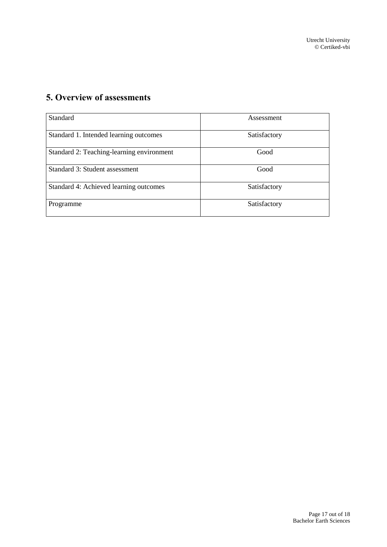# <span id="page-16-0"></span>**5. Overview of assessments**

| Standard                                  | Assessment   |
|-------------------------------------------|--------------|
| Standard 1. Intended learning outcomes    | Satisfactory |
| Standard 2: Teaching-learning environment | Good         |
| Standard 3: Student assessment            | Good         |
| Standard 4: Achieved learning outcomes    | Satisfactory |
| Programme                                 | Satisfactory |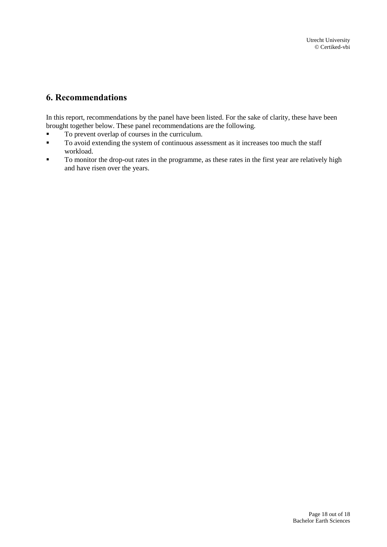## <span id="page-17-0"></span>**6. Recommendations**

In this report, recommendations by the panel have been listed. For the sake of clarity, these have been brought together below. These panel recommendations are the following.

- To prevent overlap of courses in the curriculum.
- **To avoid extending the system of continuous assessment as it increases too much the staff** workload.
- **To monitor the drop-out rates in the programme, as these rates in the first year are relatively high** and have risen over the years.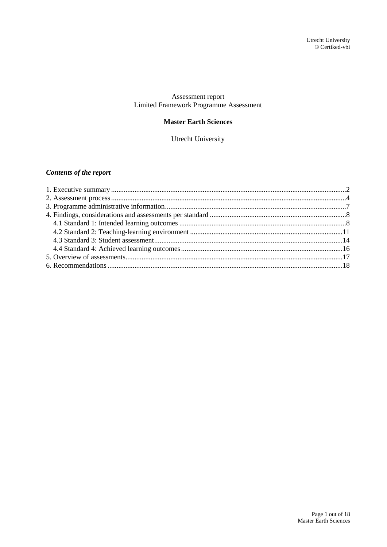### Assessment report Limited Framework Programme Assessment

### **Master Earth Sciences**

Utrecht University

### *Contents of the report*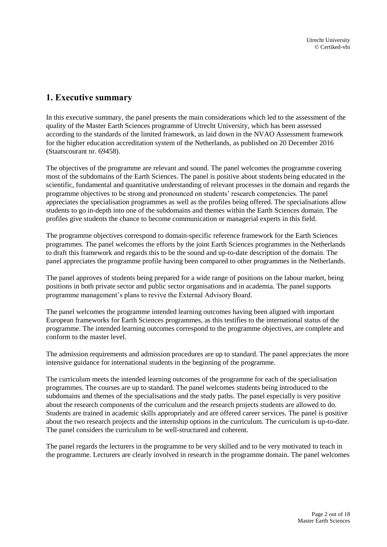## <span id="page-19-0"></span>**1. Executive summary**

In this executive summary, the panel presents the main considerations which led to the assessment of the quality of the Master Earth Sciences programme of Utrecht University, which has been assessed according to the standards of the limited framework, as laid down in the NVAO Assessment framework for the higher education accreditation system of the Netherlands, as published on 20 December 2016 (Staatscourant nr. 69458).

The objectives of the programme are relevant and sound. The panel welcomes the programme covering most of the subdomains of the Earth Sciences. The panel is positive about students being educated in the scientific, fundamental and quantitative understanding of relevant processes in the domain and regards the programme objectives to be strong and pronounced on students' research competencies. The panel appreciates the specialisation programmes as well as the profiles being offered. The specialisations allow students to go in-depth into one of the subdomains and themes within the Earth Sciences domain. The profiles give students the chance to become communication or managerial experts in this field.

The programme objectives correspond to domain-specific reference framework for the Earth Sciences programmes. The panel welcomes the efforts by the joint Earth Sciences programmes in the Netherlands to draft this framework and regards this to be the sound and up-to-date description of the domain. The panel appreciates the programme profile having been compared to other programmes in the Netherlands.

The panel approves of students being prepared for a wide range of positions on the labour market, being positions in both private sector and public sector organisations and in academia. The panel supports programme management's plans to revive the External Advisory Board.

The panel welcomes the programme intended learning outcomes having been aligned with important European frameworks for Earth Sciences programmes, as this testifies to the international status of the programme. The intended learning outcomes correspond to the programme objectives, are complete and conform to the master level.

The admission requirements and admission procedures are up to standard. The panel appreciates the more intensive guidance for international students in the beginning of the programme.

The curriculum meets the intended learning outcomes of the programme for each of the specialisation programmes. The courses are up to standard. The panel welcomes students being introduced to the subdomains and themes of the specialisations and the study paths. The panel especially is very positive about the research components of the curriculum and the research projects students are allowed to do. Students are trained in academic skills appropriately and are offered career services. The panel is positive about the two research projects and the internship options in the curriculum. The curriculum is up-to-date. The panel considers the curriculum to be well-structured and coherent.

The panel regards the lecturers in the programme to be very skilled and to be very motivated to teach in the programme. Lecturers are clearly involved in research in the programme domain. The panel welcomes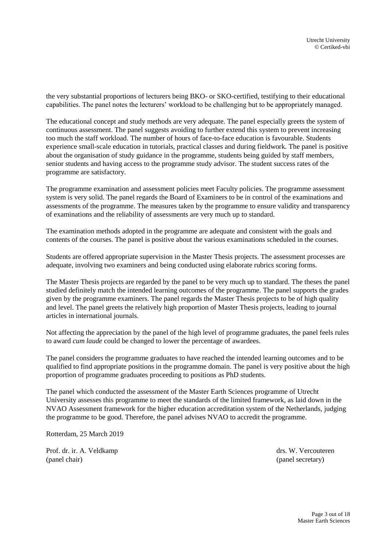the very substantial proportions of lecturers being BKO- or SKO-certified, testifying to their educational capabilities. The panel notes the lecturers' workload to be challenging but to be appropriately managed.

The educational concept and study methods are very adequate. The panel especially greets the system of continuous assessment. The panel suggests avoiding to further extend this system to prevent increasing too much the staff workload. The number of hours of face-to-face education is favourable. Students experience small-scale education in tutorials, practical classes and during fieldwork. The panel is positive about the organisation of study guidance in the programme, students being guided by staff members, senior students and having access to the programme study advisor. The student success rates of the programme are satisfactory.

The programme examination and assessment policies meet Faculty policies. The programme assessment system is very solid. The panel regards the Board of Examiners to be in control of the examinations and assessments of the programme. The measures taken by the programme to ensure validity and transparency of examinations and the reliability of assessments are very much up to standard.

The examination methods adopted in the programme are adequate and consistent with the goals and contents of the courses. The panel is positive about the various examinations scheduled in the courses.

Students are offered appropriate supervision in the Master Thesis projects. The assessment processes are adequate, involving two examiners and being conducted using elaborate rubrics scoring forms.

The Master Thesis projects are regarded by the panel to be very much up to standard. The theses the panel studied definitely match the intended learning outcomes of the programme. The panel supports the grades given by the programme examiners. The panel regards the Master Thesis projects to be of high quality and level. The panel greets the relatively high proportion of Master Thesis projects, leading to journal articles in international journals.

Not affecting the appreciation by the panel of the high level of programme graduates, the panel feels rules to award *cum laude* could be changed to lower the percentage of awardees.

The panel considers the programme graduates to have reached the intended learning outcomes and to be qualified to find appropriate positions in the programme domain. The panel is very positive about the high proportion of programme graduates proceeding to positions as PhD students.

The panel which conducted the assessment of the Master Earth Sciences programme of Utrecht University assesses this programme to meet the standards of the limited framework, as laid down in the NVAO Assessment framework for the higher education accreditation system of the Netherlands, judging the programme to be good. Therefore, the panel advises NVAO to accredit the programme.

Rotterdam, 25 March 2019

Prof. dr. ir. A. Veldkamp drs. W. Vercouteren (panel chair) (panel secretary)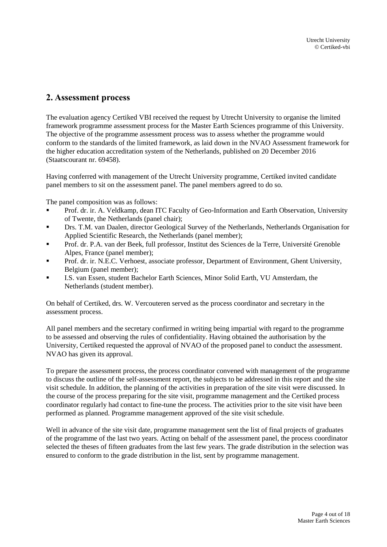## <span id="page-21-0"></span>**2. Assessment process**

The evaluation agency Certiked VBI received the request by Utrecht University to organise the limited framework programme assessment process for the Master Earth Sciences programme of this University. The objective of the programme assessment process was to assess whether the programme would conform to the standards of the limited framework, as laid down in the NVAO Assessment framework for the higher education accreditation system of the Netherlands, published on 20 December 2016 (Staatscourant nr. 69458).

Having conferred with management of the Utrecht University programme, Certiked invited candidate panel members to sit on the assessment panel. The panel members agreed to do so.

The panel composition was as follows:

- Prof. dr. ir. A. Veldkamp, dean ITC Faculty of Geo-Information and Earth Observation, University of Twente, the Netherlands (panel chair);
- Drs. T.M. van Daalen, director Geological Survey of the Netherlands, Netherlands Organisation for Applied Scientific Research, the Netherlands (panel member);
- Prof. dr. P.A. van der Beek, full professor, Institut des Sciences de la Terre, Université Grenoble Alpes, France (panel member);
- Prof. dr. ir. N.E.C. Verhoest, associate professor, Department of Environment, Ghent University, Belgium (panel member);
- I.S. van Essen, student Bachelor Earth Sciences, Minor Solid Earth, VU Amsterdam, the Netherlands (student member).

On behalf of Certiked, drs. W. Vercouteren served as the process coordinator and secretary in the assessment process.

All panel members and the secretary confirmed in writing being impartial with regard to the programme to be assessed and observing the rules of confidentiality. Having obtained the authorisation by the University, Certiked requested the approval of NVAO of the proposed panel to conduct the assessment. NVAO has given its approval.

To prepare the assessment process, the process coordinator convened with management of the programme to discuss the outline of the self-assessment report, the subjects to be addressed in this report and the site visit schedule. In addition, the planning of the activities in preparation of the site visit were discussed. In the course of the process preparing for the site visit, programme management and the Certiked process coordinator regularly had contact to fine-tune the process. The activities prior to the site visit have been performed as planned. Programme management approved of the site visit schedule.

Well in advance of the site visit date, programme management sent the list of final projects of graduates of the programme of the last two years. Acting on behalf of the assessment panel, the process coordinator selected the theses of fifteen graduates from the last few years. The grade distribution in the selection was ensured to conform to the grade distribution in the list, sent by programme management.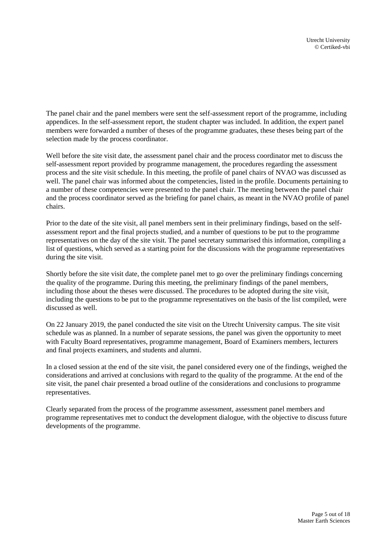The panel chair and the panel members were sent the self-assessment report of the programme, including appendices. In the self-assessment report, the student chapter was included. In addition, the expert panel members were forwarded a number of theses of the programme graduates, these theses being part of the selection made by the process coordinator.

Well before the site visit date, the assessment panel chair and the process coordinator met to discuss the self-assessment report provided by programme management, the procedures regarding the assessment process and the site visit schedule. In this meeting, the profile of panel chairs of NVAO was discussed as well. The panel chair was informed about the competencies, listed in the profile. Documents pertaining to a number of these competencies were presented to the panel chair. The meeting between the panel chair and the process coordinator served as the briefing for panel chairs, as meant in the NVAO profile of panel chairs.

Prior to the date of the site visit, all panel members sent in their preliminary findings, based on the selfassessment report and the final projects studied, and a number of questions to be put to the programme representatives on the day of the site visit. The panel secretary summarised this information, compiling a list of questions, which served as a starting point for the discussions with the programme representatives during the site visit.

Shortly before the site visit date, the complete panel met to go over the preliminary findings concerning the quality of the programme. During this meeting, the preliminary findings of the panel members, including those about the theses were discussed. The procedures to be adopted during the site visit, including the questions to be put to the programme representatives on the basis of the list compiled, were discussed as well.

On 22 January 2019, the panel conducted the site visit on the Utrecht University campus. The site visit schedule was as planned. In a number of separate sessions, the panel was given the opportunity to meet with Faculty Board representatives, programme management, Board of Examiners members, lecturers and final projects examiners, and students and alumni.

In a closed session at the end of the site visit, the panel considered every one of the findings, weighed the considerations and arrived at conclusions with regard to the quality of the programme. At the end of the site visit, the panel chair presented a broad outline of the considerations and conclusions to programme representatives.

Clearly separated from the process of the programme assessment, assessment panel members and programme representatives met to conduct the development dialogue, with the objective to discuss future developments of the programme.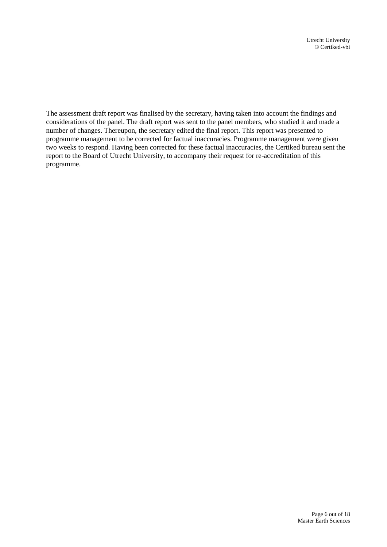The assessment draft report was finalised by the secretary, having taken into account the findings and considerations of the panel. The draft report was sent to the panel members, who studied it and made a number of changes. Thereupon, the secretary edited the final report. This report was presented to programme management to be corrected for factual inaccuracies. Programme management were given two weeks to respond. Having been corrected for these factual inaccuracies, the Certiked bureau sent the report to the Board of Utrecht University, to accompany their request for re-accreditation of this programme.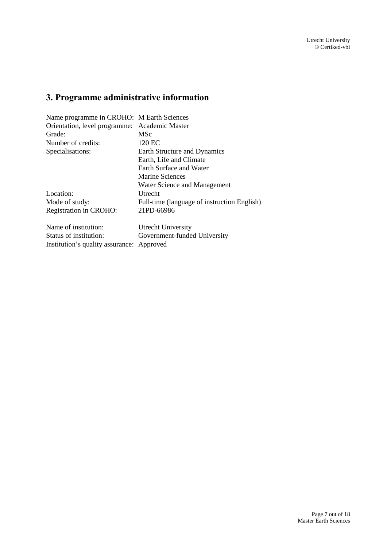# <span id="page-24-0"></span>**3. Programme administrative information**

| Name programme in CROHO: M Earth Sciences     |                                             |  |
|-----------------------------------------------|---------------------------------------------|--|
| Orientation, level programme: Academic Master |                                             |  |
| Grade:                                        | <b>MSc</b>                                  |  |
| Number of credits:                            | 120 EC                                      |  |
| Specialisations:                              | Earth Structure and Dynamics                |  |
|                                               | Earth, Life and Climate                     |  |
|                                               | Earth Surface and Water                     |  |
|                                               | Marine Sciences                             |  |
|                                               | Water Science and Management                |  |
| Location:                                     | Utrecht                                     |  |
| Mode of study:                                | Full-time (language of instruction English) |  |
| Registration in CROHO:                        | 21PD-66986                                  |  |
| Name of institution:                          | Utrecht University                          |  |
| Status of institution:                        | Government-funded University                |  |
| Institution's quality assurance:              | Approved                                    |  |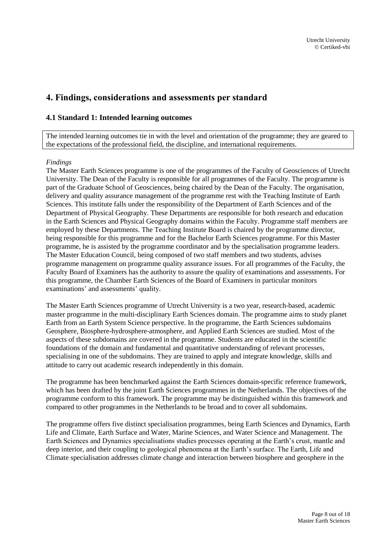## <span id="page-25-0"></span>**4. Findings, considerations and assessments per standard**

### <span id="page-25-1"></span>**4.1 Standard 1: Intended learning outcomes**

The intended learning outcomes tie in with the level and orientation of the programme; they are geared to the expectations of the professional field, the discipline, and international requirements.

### *Findings*

The Master Earth Sciences programme is one of the programmes of the Faculty of Geosciences of Utrecht University. The Dean of the Faculty is responsible for all programmes of the Faculty. The programme is part of the Graduate School of Geosciences, being chaired by the Dean of the Faculty. The organisation, delivery and quality assurance management of the programme rest with the Teaching Institute of Earth Sciences. This institute falls under the responsibility of the Department of Earth Sciences and of the Department of Physical Geography. These Departments are responsible for both research and education in the Earth Sciences and Physical Geography domains within the Faculty. Programme staff members are employed by these Departments. The Teaching Institute Board is chaired by the programme director, being responsible for this programme and for the Bachelor Earth Sciences programme. For this Master programme, he is assisted by the programme coordinator and by the specialisation programme leaders. The Master Education Council, being composed of two staff members and two students, advises programme management on programme quality assurance issues. For all programmes of the Faculty, the Faculty Board of Examiners has the authority to assure the quality of examinations and assessments. For this programme, the Chamber Earth Sciences of the Board of Examiners in particular monitors examinations' and assessments' quality.

The Master Earth Sciences programme of Utrecht University is a two year, research-based, academic master programme in the multi-disciplinary Earth Sciences domain. The programme aims to study planet Earth from an Earth System Science perspective. In the programme, the Earth Sciences subdomains Geosphere, Biosphere-hydrosphere-atmosphere, and Applied Earth Sciences are studied. Most of the aspects of these subdomains are covered in the programme. Students are educated in the scientific foundations of the domain and fundamental and quantitative understanding of relevant processes, specialising in one of the subdomains. They are trained to apply and integrate knowledge, skills and attitude to carry out academic research independently in this domain.

The programme has been benchmarked against the Earth Sciences domain-specific reference framework, which has been drafted by the joint Earth Sciences programmes in the Netherlands. The objectives of the programme conform to this framework. The programme may be distinguished within this framework and compared to other programmes in the Netherlands to be broad and to cover all subdomains.

The programme offers five distinct specialisation programmes, being Earth Sciences and Dynamics, Earth Life and Climate, Earth Surface and Water, Marine Sciences, and Water Science and Management. The Earth Sciences and Dynamics specialisations studies processes operating at the Earth's crust, mantle and deep interior, and their coupling to geological phenomena at the Earth's surface. The Earth, Life and Climate specialisation addresses climate change and interaction between biosphere and geosphere in the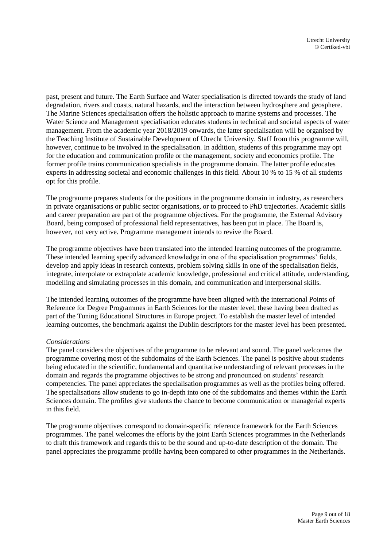past, present and future. The Earth Surface and Water specialisation is directed towards the study of land degradation, rivers and coasts, natural hazards, and the interaction between hydrosphere and geosphere. The Marine Sciences specialisation offers the holistic approach to marine systems and processes. The Water Science and Management specialisation educates students in technical and societal aspects of water management. From the academic year 2018/2019 onwards, the latter specialisation will be organised by the Teaching Institute of Sustainable Development of Utrecht University. Staff from this programme will, however, continue to be involved in the specialisation. In addition, students of this programme may opt for the education and communication profile or the management, society and economics profile. The former profile trains communication specialists in the programme domain. The latter profile educates experts in addressing societal and economic challenges in this field. About 10 % to 15 % of all students opt for this profile.

The programme prepares students for the positions in the programme domain in industry, as researchers in private organisations or public sector organisations, or to proceed to PhD trajectories. Academic skills and career preparation are part of the programme objectives. For the programme, the External Advisory Board, being composed of professional field representatives, has been put in place. The Board is, however, not very active. Programme management intends to revive the Board.

The programme objectives have been translated into the intended learning outcomes of the programme. These intended learning specify advanced knowledge in one of the specialisation programmes' fields, develop and apply ideas in research contexts, problem solving skills in one of the specialisation fields, integrate, interpolate or extrapolate academic knowledge, professional and critical attitude, understanding, modelling and simulating processes in this domain, and communication and interpersonal skills.

The intended learning outcomes of the programme have been aligned with the international Points of Reference for Degree Programmes in Earth Sciences for the master level, these having been drafted as part of the Tuning Educational Structures in Europe project. To establish the master level of intended learning outcomes, the benchmark against the Dublin descriptors for the master level has been presented.

### *Considerations*

The panel considers the objectives of the programme to be relevant and sound. The panel welcomes the programme covering most of the subdomains of the Earth Sciences. The panel is positive about students being educated in the scientific, fundamental and quantitative understanding of relevant processes in the domain and regards the programme objectives to be strong and pronounced on students' research competencies. The panel appreciates the specialisation programmes as well as the profiles being offered. The specialisations allow students to go in-depth into one of the subdomains and themes within the Earth Sciences domain. The profiles give students the chance to become communication or managerial experts in this field.

The programme objectives correspond to domain-specific reference framework for the Earth Sciences programmes. The panel welcomes the efforts by the joint Earth Sciences programmes in the Netherlands to draft this framework and regards this to be the sound and up-to-date description of the domain. The panel appreciates the programme profile having been compared to other programmes in the Netherlands.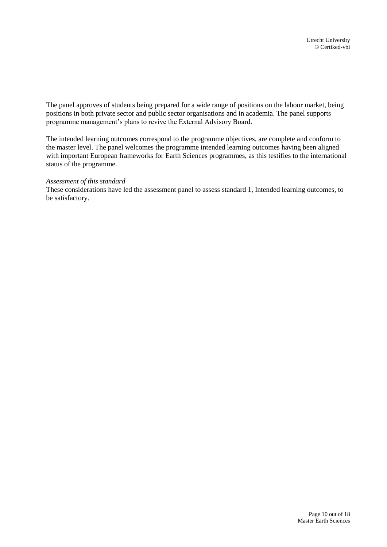The panel approves of students being prepared for a wide range of positions on the labour market, being positions in both private sector and public sector organisations and in academia. The panel supports programme management's plans to revive the External Advisory Board.

The intended learning outcomes correspond to the programme objectives, are complete and conform to the master level. The panel welcomes the programme intended learning outcomes having been aligned with important European frameworks for Earth Sciences programmes, as this testifies to the international status of the programme.

### *Assessment of this standard*

<span id="page-27-0"></span>These considerations have led the assessment panel to assess standard 1, Intended learning outcomes, to be satisfactory.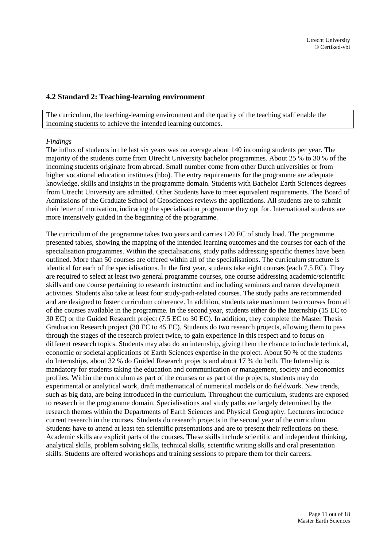### **4.2 Standard 2: Teaching-learning environment**

The curriculum, the teaching-learning environment and the quality of the teaching staff enable the incoming students to achieve the intended learning outcomes.

### *Findings*

The influx of students in the last six years was on average about 140 incoming students per year. The majority of the students come from Utrecht University bachelor programmes. About 25 % to 30 % of the incoming students originate from abroad. Small number come from other Dutch universities or from higher vocational education institutes (hbo). The entry requirements for the programme are adequate knowledge, skills and insights in the programme domain. Students with Bachelor Earth Sciences degrees from Utrecht University are admitted. Other Students have to meet equivalent requirements. The Board of Admissions of the Graduate School of Geosciences reviews the applications. All students are to submit their letter of motivation, indicating the specialisation programme they opt for. International students are more intensively guided in the beginning of the programme.

The curriculum of the programme takes two years and carries 120 EC of study load. The programme presented tables, showing the mapping of the intended learning outcomes and the courses for each of the specialisation programmes. Within the specialisations, study paths addressing specific themes have been outlined. More than 50 courses are offered within all of the specialisations. The curriculum structure is identical for each of the specialisations. In the first year, students take eight courses (each 7.5 EC). They are required to select at least two general programme courses, one course addressing academic/scientific skills and one course pertaining to research instruction and including seminars and career development activities. Students also take at least four study-path-related courses. The study paths are recommended and are designed to foster curriculum coherence. In addition, students take maximum two courses from all of the courses available in the programme. In the second year, students either do the Internship (15 EC to 30 EC) or the Guided Research project (7.5 EC to 30 EC). In addition, they complete the Master Thesis Graduation Research project (30 EC to 45 EC). Students do two research projects, allowing them to pass through the stages of the research project twice, to gain experience in this respect and to focus on different research topics. Students may also do an internship, giving them the chance to include technical, economic or societal applications of Earth Sciences expertise in the project. About 50 % of the students do Internships, about 32 % do Guided Research projects and about 17 % do both. The Internship is mandatory for students taking the education and communication or management, society and economics profiles. Within the curriculum as part of the courses or as part of the projects, students may do experimental or analytical work, draft mathematical of numerical models or do fieldwork. New trends, such as big data, are being introduced in the curriculum. Throughout the curriculum, students are exposed to research in the programme domain. Specialisations and study paths are largely determined by the research themes within the Departments of Earth Sciences and Physical Geography. Lecturers introduce current research in the courses. Students do research projects in the second year of the curriculum. Students have to attend at least ten scientific presentations and are to present their reflections on these. Academic skills are explicit parts of the courses. These skills include scientific and independent thinking, analytical skills, problem solving skills, technical skills, scientific writing skills and oral presentation skills. Students are offered workshops and training sessions to prepare them for their careers.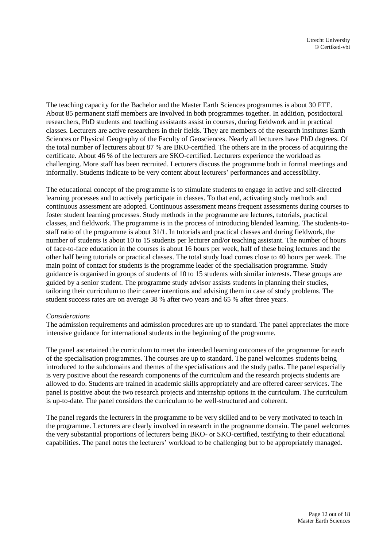The teaching capacity for the Bachelor and the Master Earth Sciences programmes is about 30 FTE. About 85 permanent staff members are involved in both programmes together. In addition, postdoctoral researchers, PhD students and teaching assistants assist in courses, during fieldwork and in practical classes. Lecturers are active researchers in their fields. They are members of the research institutes Earth Sciences or Physical Geography of the Faculty of Geosciences. Nearly all lecturers have PhD degrees. Of the total number of lecturers about 87 % are BKO-certified. The others are in the process of acquiring the certificate. About 46 % of the lecturers are SKO-certified. Lecturers experience the workload as challenging. More staff has been recruited. Lecturers discuss the programme both in formal meetings and informally. Students indicate to be very content about lecturers' performances and accessibility.

The educational concept of the programme is to stimulate students to engage in active and self-directed learning processes and to actively participate in classes. To that end, activating study methods and continuous assessment are adopted. Continuous assessment means frequent assessments during courses to foster student learning processes. Study methods in the programme are lectures, tutorials, practical classes, and fieldwork. The programme is in the process of introducing blended learning. The students-tostaff ratio of the programme is about 31/1. In tutorials and practical classes and during fieldwork, the number of students is about 10 to 15 students per lecturer and/or teaching assistant. The number of hours of face-to-face education in the courses is about 16 hours per week, half of these being lectures and the other half being tutorials or practical classes. The total study load comes close to 40 hours per week. The main point of contact for students is the programme leader of the specialisation programme. Study guidance is organised in groups of students of 10 to 15 students with similar interests. These groups are guided by a senior student. The programme study advisor assists students in planning their studies, tailoring their curriculum to their career intentions and advising them in case of study problems. The student success rates are on average 38 % after two years and 65 % after three years.

### *Considerations*

The admission requirements and admission procedures are up to standard. The panel appreciates the more intensive guidance for international students in the beginning of the programme.

The panel ascertained the curriculum to meet the intended learning outcomes of the programme for each of the specialisation programmes. The courses are up to standard. The panel welcomes students being introduced to the subdomains and themes of the specialisations and the study paths. The panel especially is very positive about the research components of the curriculum and the research projects students are allowed to do. Students are trained in academic skills appropriately and are offered career services. The panel is positive about the two research projects and internship options in the curriculum. The curriculum is up-to-date. The panel considers the curriculum to be well-structured and coherent.

The panel regards the lecturers in the programme to be very skilled and to be very motivated to teach in the programme. Lecturers are clearly involved in research in the programme domain. The panel welcomes the very substantial proportions of lecturers being BKO- or SKO-certified, testifying to their educational capabilities. The panel notes the lecturers' workload to be challenging but to be appropriately managed.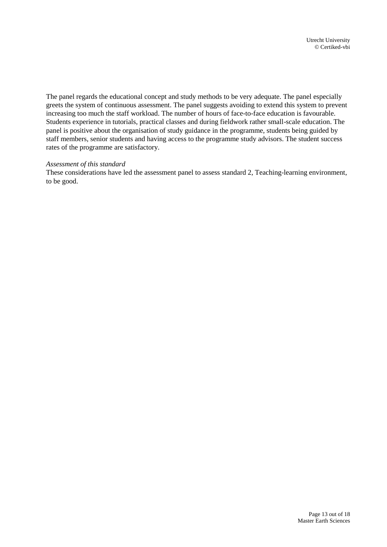The panel regards the educational concept and study methods to be very adequate. The panel especially greets the system of continuous assessment. The panel suggests avoiding to extend this system to prevent increasing too much the staff workload. The number of hours of face-to-face education is favourable. Students experience in tutorials, practical classes and during fieldwork rather small-scale education. The panel is positive about the organisation of study guidance in the programme, students being guided by staff members, senior students and having access to the programme study advisors. The student success rates of the programme are satisfactory.

### *Assessment of this standard*

<span id="page-30-0"></span>These considerations have led the assessment panel to assess standard 2, Teaching-learning environment, to be good.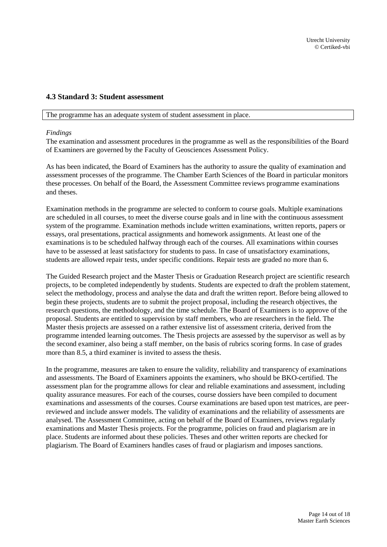### **4.3 Standard 3: Student assessment**

The programme has an adequate system of student assessment in place.

#### *Findings*

The examination and assessment procedures in the programme as well as the responsibilities of the Board of Examiners are governed by the Faculty of Geosciences Assessment Policy.

As has been indicated, the Board of Examiners has the authority to assure the quality of examination and assessment processes of the programme. The Chamber Earth Sciences of the Board in particular monitors these processes. On behalf of the Board, the Assessment Committee reviews programme examinations and theses.

Examination methods in the programme are selected to conform to course goals. Multiple examinations are scheduled in all courses, to meet the diverse course goals and in line with the continuous assessment system of the programme. Examination methods include written examinations, written reports, papers or essays, oral presentations, practical assignments and homework assignments. At least one of the examinations is to be scheduled halfway through each of the courses. All examinations within courses have to be assessed at least satisfactory for students to pass. In case of unsatisfactory examinations, students are allowed repair tests, under specific conditions. Repair tests are graded no more than 6.

The Guided Research project and the Master Thesis or Graduation Research project are scientific research projects, to be completed independently by students. Students are expected to draft the problem statement, select the methodology, process and analyse the data and draft the written report. Before being allowed to begin these projects, students are to submit the project proposal, including the research objectives, the research questions, the methodology, and the time schedule. The Board of Examiners is to approve of the proposal. Students are entitled to supervision by staff members, who are researchers in the field. The Master thesis projects are assessed on a rather extensive list of assessment criteria, derived from the programme intended learning outcomes. The Thesis projects are assessed by the supervisor as well as by the second examiner, also being a staff member, on the basis of rubrics scoring forms. In case of grades more than 8.5, a third examiner is invited to assess the thesis.

In the programme, measures are taken to ensure the validity, reliability and transparency of examinations and assessments. The Board of Examiners appoints the examiners, who should be BKO-certified. The assessment plan for the programme allows for clear and reliable examinations and assessment, including quality assurance measures. For each of the courses, course dossiers have been compiled to document examinations and assessments of the courses. Course examinations are based upon test matrices, are peerreviewed and include answer models. The validity of examinations and the reliability of assessments are analysed. The Assessment Committee, acting on behalf of the Board of Examiners, reviews regularly examinations and Master Thesis projects. For the programme, policies on fraud and plagiarism are in place. Students are informed about these policies. Theses and other written reports are checked for plagiarism. The Board of Examiners handles cases of fraud or plagiarism and imposes sanctions.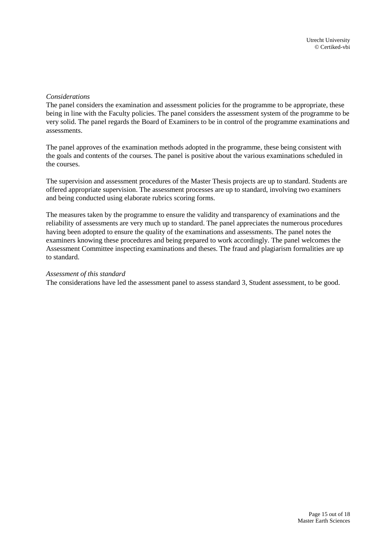### *Considerations*

The panel considers the examination and assessment policies for the programme to be appropriate, these being in line with the Faculty policies. The panel considers the assessment system of the programme to be very solid. The panel regards the Board of Examiners to be in control of the programme examinations and assessments.

The panel approves of the examination methods adopted in the programme, these being consistent with the goals and contents of the courses. The panel is positive about the various examinations scheduled in the courses.

The supervision and assessment procedures of the Master Thesis projects are up to standard. Students are offered appropriate supervision. The assessment processes are up to standard, involving two examiners and being conducted using elaborate rubrics scoring forms.

The measures taken by the programme to ensure the validity and transparency of examinations and the reliability of assessments are very much up to standard. The panel appreciates the numerous procedures having been adopted to ensure the quality of the examinations and assessments. The panel notes the examiners knowing these procedures and being prepared to work accordingly. The panel welcomes the Assessment Committee inspecting examinations and theses. The fraud and plagiarism formalities are up to standard.

### *Assessment of this standard*

<span id="page-32-0"></span>The considerations have led the assessment panel to assess standard 3, Student assessment, to be good.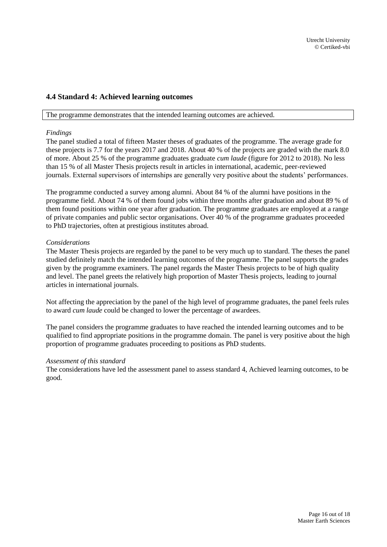### **4.4 Standard 4: Achieved learning outcomes**

#### The programme demonstrates that the intended learning outcomes are achieved.

### *Findings*

The panel studied a total of fifteen Master theses of graduates of the programme. The average grade for these projects is 7.7 for the years 2017 and 2018. About 40 % of the projects are graded with the mark 8.0 of more. About 25 % of the programme graduates graduate *cum laude* (figure for 2012 to 2018). No less than 15 % of all Master Thesis projects result in articles in international, academic, peer-reviewed journals. External supervisors of internships are generally very positive about the students' performances.

The programme conducted a survey among alumni. About 84 % of the alumni have positions in the programme field. About 74 % of them found jobs within three months after graduation and about 89 % of them found positions within one year after graduation. The programme graduates are employed at a range of private companies and public sector organisations. Over 40 % of the programme graduates proceeded to PhD trajectories, often at prestigious institutes abroad.

### *Considerations*

The Master Thesis projects are regarded by the panel to be very much up to standard. The theses the panel studied definitely match the intended learning outcomes of the programme. The panel supports the grades given by the programme examiners. The panel regards the Master Thesis projects to be of high quality and level. The panel greets the relatively high proportion of Master Thesis projects, leading to journal articles in international journals.

Not affecting the appreciation by the panel of the high level of programme graduates, the panel feels rules to award *cum laude* could be changed to lower the percentage of awardees.

The panel considers the programme graduates to have reached the intended learning outcomes and to be qualified to find appropriate positions in the programme domain. The panel is very positive about the high proportion of programme graduates proceeding to positions as PhD students.

### *Assessment of this standard*

The considerations have led the assessment panel to assess standard 4, Achieved learning outcomes, to be good.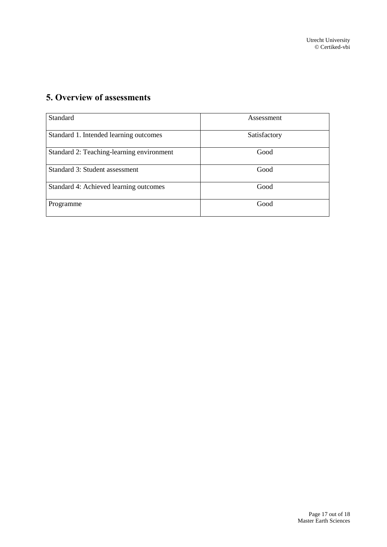# <span id="page-34-0"></span>**5. Overview of assessments**

| Standard                                  | Assessment   |
|-------------------------------------------|--------------|
| Standard 1. Intended learning outcomes    | Satisfactory |
| Standard 2: Teaching-learning environment | Good         |
| Standard 3: Student assessment            | Good         |
| Standard 4: Achieved learning outcomes    | Good         |
| Programme                                 | Good         |